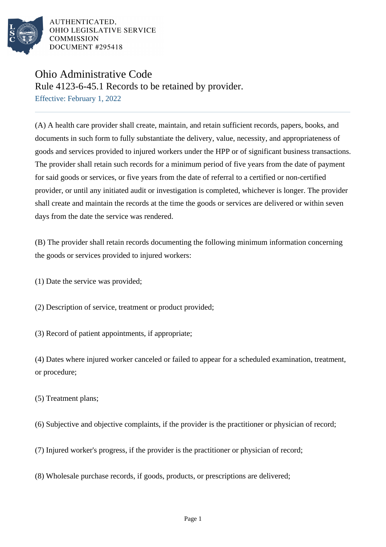

AUTHENTICATED. OHIO LEGISLATIVE SERVICE **COMMISSION** DOCUMENT #295418

## Ohio Administrative Code

Rule 4123-6-45.1 Records to be retained by provider.

Effective: February 1, 2022

(A) A health care provider shall create, maintain, and retain sufficient records, papers, books, and documents in such form to fully substantiate the delivery, value, necessity, and appropriateness of goods and services provided to injured workers under the HPP or of significant business transactions. The provider shall retain such records for a minimum period of five years from the date of payment for said goods or services, or five years from the date of referral to a certified or non-certified provider, or until any initiated audit or investigation is completed, whichever is longer. The provider shall create and maintain the records at the time the goods or services are delivered or within seven days from the date the service was rendered.

(B) The provider shall retain records documenting the following minimum information concerning the goods or services provided to injured workers:

(1) Date the service was provided;

(2) Description of service, treatment or product provided;

(3) Record of patient appointments, if appropriate;

(4) Dates where injured worker canceled or failed to appear for a scheduled examination, treatment, or procedure;

(5) Treatment plans;

(6) Subjective and objective complaints, if the provider is the practitioner or physician of record;

- (7) Injured worker's progress, if the provider is the practitioner or physician of record;
- (8) Wholesale purchase records, if goods, products, or prescriptions are delivered;